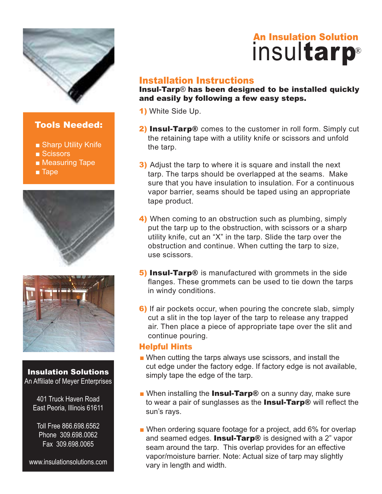

## Tools Needed:

- Sharp Utility Knife
- Scissors
- Measuring Tape
- Tape





### Insulation Solutions An Affiliate of Meyer Enterprises

401 Truck Haven Road East Peoria, Illinois 61611

Toll Free 866.698.6562 Phone 309.698.0062 Fax 309.698.0065

www.insulationsolutions.com

# **insulation Solution**<br> **insultarp** ®

## Installation Instructions

Insul-Tarp® has been designed to be installed quickly and easily by following a few easy steps.

1) White Side Up.

- 2) Insul-Tarp<sup>®</sup> comes to the customer in roll form. Simply cut the retaining tape with a utility knife or scissors and unfold the tarp.
- **3)** Adjust the tarp to where it is square and install the next tarp. The tarps should be overlapped at the seams. Make sure that you have insulation to insulation. For a continuous vapor barrier, seams should be taped using an appropriate tape product.
- 4) When coming to an obstruction such as plumbing, simply put the tarp up to the obstruction, with scissors or a sharp utility knife, cut an "X" in the tarp. Slide the tarp over the obstruction and continue. When cutting the tarp to size, use scissors.
- **5) Insul-Tarp**® is manufactured with grommets in the side flanges. These grommets can be used to tie down the tarps in windy conditions.
- 6) If air pockets occur, when pouring the concrete slab, simply cut a slit in the top layer of the tarp to release any trapped air. Then place a piece of appropriate tape over the slit and continue pouring.

## Helpful Hints

- When cutting the tarps always use scissors, and install the cut edge under the factory edge. If factory edge is not available, simply tape the edge of the tarp.
- When installing the Insul-Tarp<sup>®</sup> on a sunny day, make sure to wear a pair of sunglasses as the **Insul-Tarp®** will reflect the sun's rays.
- When ordering square footage for a project, add 6% for overlap and seamed edges. **Insul-Tarp**® is designed with a  $2$ " vapor seam around the tarp. This overlap provides for an effective vapor/moisture barrier. Note: Actual size of tarp may slightly vary in length and width.